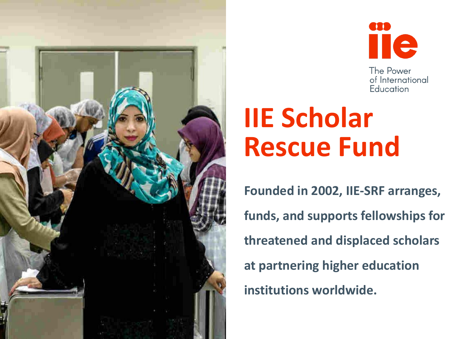



# **IIE Scholar Rescue Fund**

**Founded in 2002, IIE-SRF arranges, funds, and supports fellowships for threatened and displaced scholars at partnering higher education institutions worldwide.**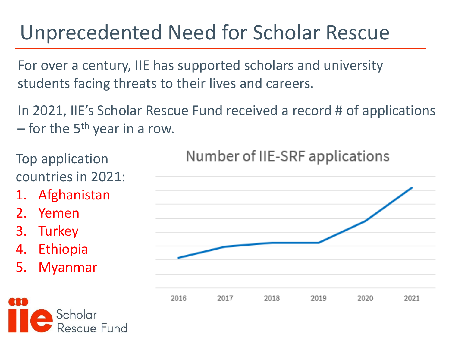## Unprecedented Need for Scholar Rescue

For over a century, IIE has supported scholars and university students facing threats to their lives and careers.

In 2021, IIE's Scholar Rescue Fund received a record # of applications – for the  $5<sup>th</sup>$  year in a row.

Top application countries in 2021:

- 1. Afghanistan
- 2. Yemen
- 3. Turkey
- 4. Ethiopia
- 5. Myanmar



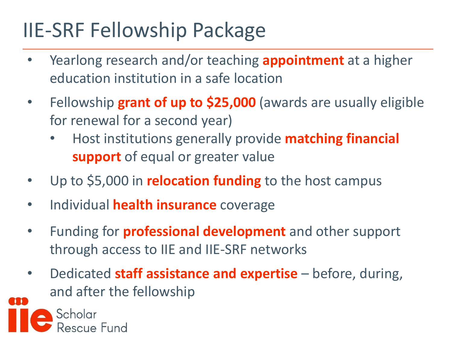## IIE-SRF Fellowship Package

- Yearlong research and/or teaching **appointment** at a higher education institution in a safe location
- Fellowship **grant of up to \$25,000** (awards are usually eligible for renewal for a second year)
	- Host institutions generally provide **matching financial support** of equal or greater value
- Up to \$5,000 in **relocation funding** to the host campus
- Individual **health insurance** coverage
- Funding for **professional development** and other support through access to IIE and IIE-SRF networks
- Dedicated **staff assistance and expertise** before, during, and after the fellowship

Scholar escue Fund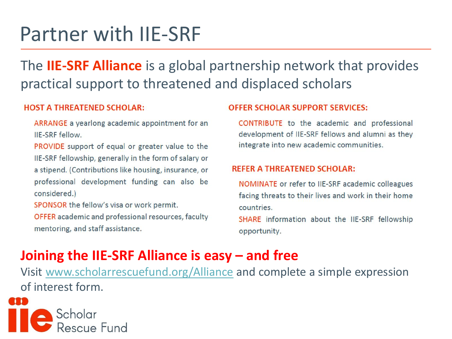### Partner with IIE-SRF

The **IIE-SRF Alliance** is a global partnership network that provides practical support to threatened and displaced scholars

#### **HOST A THREATENED SCHOLAR:**

ARRANGE a yearlong academic appointment for an IIE-SRF fellow.

PROVIDE support of equal or greater value to the IIE-SRF fellowship, generally in the form of salary or a stipend. (Contributions like housing, insurance, or professional development funding can also be considered.)

SPONSOR the fellow's visa or work permit.

OFFER academic and professional resources, faculty mentoring, and staff assistance.

#### **OFFER SCHOLAR SUPPORT SERVICES:**

CONTRIBUTE to the academic and professional development of IIE-SRF fellows and alumni as they integrate into new academic communities.

#### **REFER A THREATENED SCHOLAR:**

NOMINATE or refer to IIE-SRF academic colleagues facing threats to their lives and work in their home countries.

SHARE information about the IIE-SRF fellowship opportunity.

### **Joining the IIE-SRF Alliance is easy – and free**

Visit [www.scholarrescuefund.org/Alliance](http://www.scholarrescuefund.org/Alliance) and complete a simple expression of interest form.

Rescue Fund